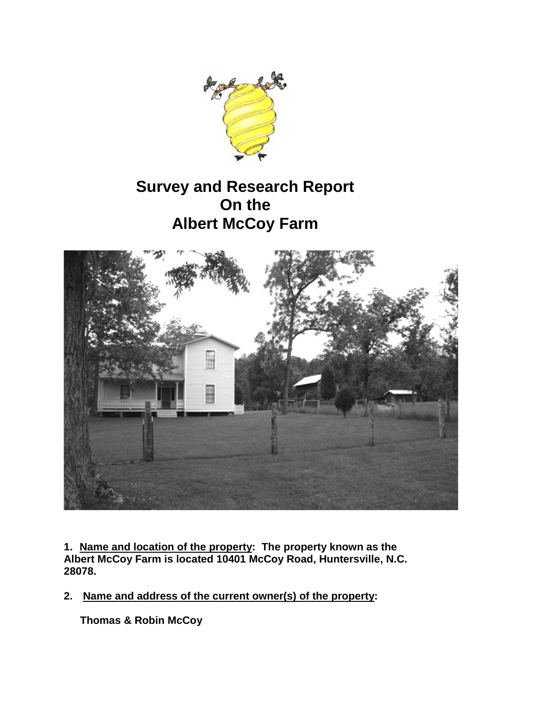

# **Survey and Research Report On the Albert McCoy Farm**



**1. Name and location of the property: The property known as the Albert McCoy Farm is located 10401 McCoy Road, Huntersville, N.C. 28078.**

**2. Name and address of the current owner(s) of the property:**

**Thomas & Robin McCoy**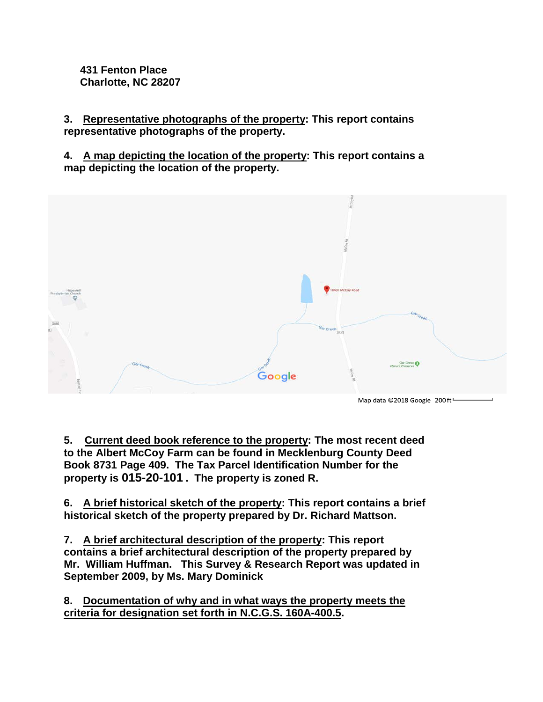**431 Fenton Place Charlotte, NC 28207**

**3. Representative photographs of the property: This report contains representative photographs of the property.**

**4. A map depicting the location of the property: This report contains a map depicting the location of the property.**



**5. Current deed book reference to the property: The most recent deed to the Albert McCoy Farm can be found in Mecklenburg County Deed Book 8731 Page 409. The Tax Parcel Identification Number for the property is 015-20-101 . The property is zoned R.**

**6. A brief historical sketch of the property: This report contains a brief historical sketch of the property prepared by Dr. Richard Mattson.**

**7. A brief architectural description of the property: This report contains a brief architectural description of the property prepared by Mr. William Huffman. This Survey & Research Report was updated in September 2009, by Ms. Mary Dominick**

**8. Documentation of why and in what ways the property meets the criteria for designation set forth in N.C.G.S. 160A-400.5.**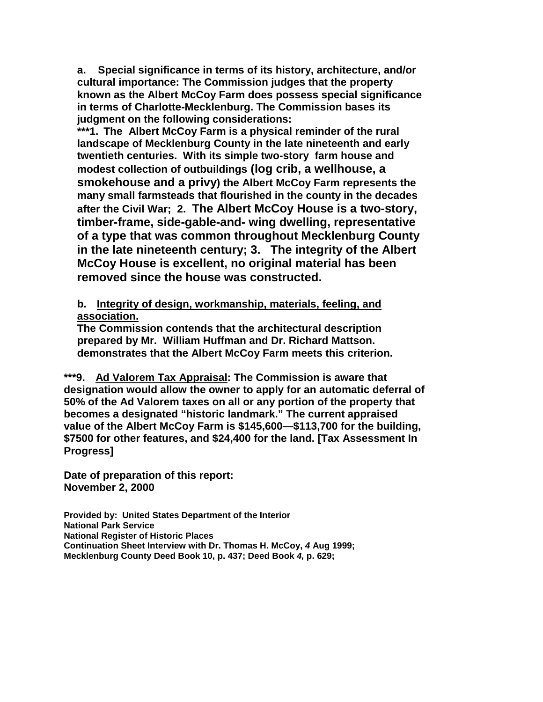**a. Special significance in terms of its history, architecture, and/or cultural importance: The Commission judges that the property known as the Albert McCoy Farm does possess special significance in terms of Charlotte-Mecklenburg. The Commission bases its judgment on the following considerations:**

**\*\*\*1. The Albert McCoy Farm is a physical reminder of the rural landscape of Mecklenburg County in the late nineteenth and early twentieth centuries. With its simple two-story farm house and modest collection of outbuildings (log crib, a wellhouse, a smokehouse and a privy) the Albert McCoy Farm represents the many small farmsteads that flourished in the county in the decades after the Civil War; 2. The Albert McCoy House is a two-story, timber-frame, side-gable-and- wing dwelling, representative of a type that was common throughout Mecklenburg County in the late nineteenth century; 3. The integrity of the Albert McCoy House is excellent, no original material has been removed since the house was constructed.**

**b. Integrity of design, workmanship, materials, feeling, and association.**

**The Commission contends that the architectural description prepared by Mr. William Huffman and Dr. Richard Mattson. demonstrates that the Albert McCoy Farm meets this criterion.**

**\*\*\*9. Ad Valorem Tax Appraisal: The Commission is aware that designation would allow the owner to apply for an automatic deferral of 50% of the Ad Valorem taxes on all or any portion of the property that becomes a designated "historic landmark." The current appraised value of the Albert McCoy Farm is \$145,600—\$113,700 for the building, \$7500 for other features, and \$24,400 for the land. [Tax Assessment In Progress]**

**Date of preparation of this report: November 2, 2000**

**Provided by: United States Department of the Interior National Park Service National Register of Historic Places Continuation Sheet Interview with Dr. Thomas H. McCoy,** *4* **Aug 1999; Mecklenburg County Deed Book 10, p. 437; Deed Book** *4,* **p. 629;**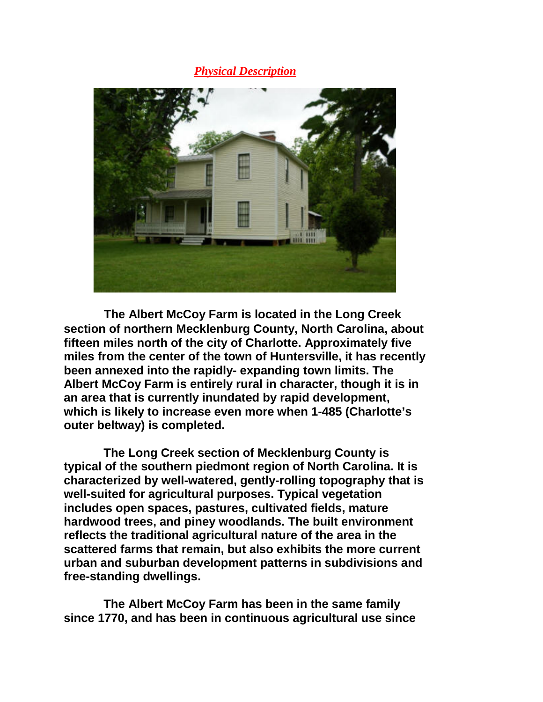#### *Physical Description*



 **The Albert McCoy Farm is located in the Long Creek section of northern Mecklenburg County, North Carolina, about fifteen miles north of the city of Charlotte. Approximately five miles from the center of the town of Huntersville, it has recently been annexed into the rapidly- expanding town limits. The Albert McCoy Farm is entirely rural in character, though it is in an area that is currently inundated by rapid development, which is likely to increase even more when 1-485 (Charlotte's outer beltway) is completed.**

 **The Long Creek section of Mecklenburg County is typical of the southern piedmont region of North Carolina. It is characterized by well-watered, gently-rolling topography that is well-suited for agricultural purposes. Typical vegetation includes open spaces, pastures, cultivated fields, mature hardwood trees, and piney woodlands. The built environment reflects the traditional agricultural nature of the area in the scattered farms that remain, but also exhibits the more current urban and suburban development patterns in subdivisions and free-standing dwellings.**

 **The Albert McCoy Farm has been in the same family since 1770, and has been in continuous agricultural use since**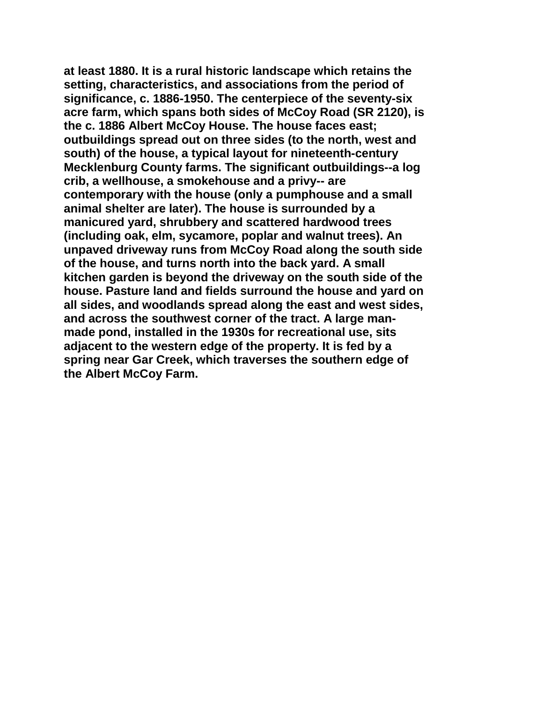**at least 1880. It is a rural historic landscape which retains the setting, characteristics, and associations from the period of significance, c. 1886-1950. The centerpiece of the seventy-six acre farm, which spans both sides of McCoy Road (SR 2120), is the c. 1886 Albert McCoy House. The house faces east; outbuildings spread out on three sides (to the north, west and south) of the house, a typical layout for nineteenth-century Mecklenburg County farms. The significant outbuildings--a log crib, a wellhouse, a smokehouse and a privy-- are contemporary with the house (only a pumphouse and a small animal shelter are later). The house is surrounded by a manicured yard, shrubbery and scattered hardwood trees (including oak, elm, sycamore, poplar and walnut trees). An unpaved driveway runs from McCoy Road along the south side of the house, and turns north into the back yard. A small kitchen garden is beyond the driveway on the south side of the house. Pasture land and fields surround the house and yard on all sides, and woodlands spread along the east and west sides, and across the southwest corner of the tract. A large manmade pond, installed in the 1930s for recreational use, sits adjacent to the western edge of the property. It is fed by a spring near Gar Creek, which traverses the southern edge of the Albert McCoy Farm.**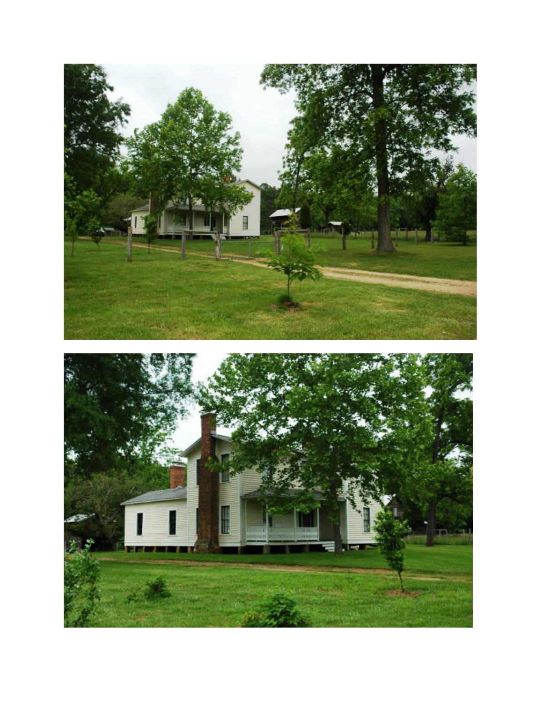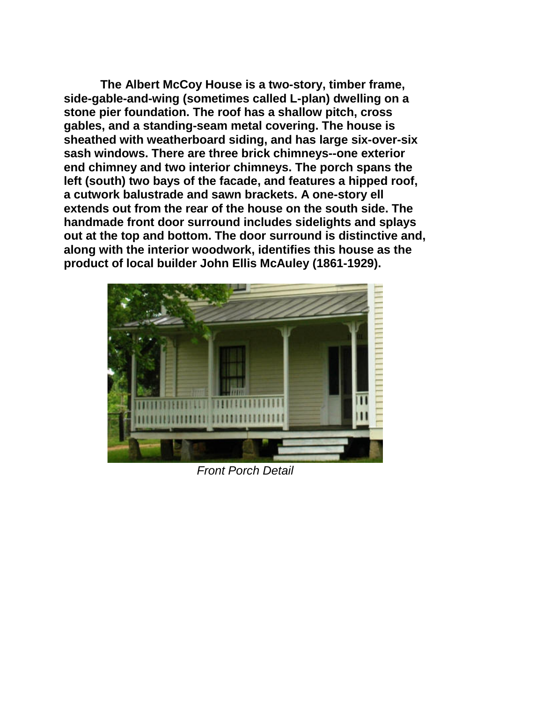**The Albert McCoy House is a two-story, timber frame, side-gable-and-wing (sometimes called L-plan) dwelling on a stone pier foundation. The roof has a shallow pitch, cross gables, and a standing-seam metal covering. The house is sheathed with weatherboard siding, and has large six-over-six sash windows. There are three brick chimneys--one exterior end chimney and two interior chimneys. The porch spans the left (south) two bays of the facade, and features a hipped roof, a cutwork balustrade and sawn brackets. A one-story ell extends out from the rear of the house on the south side. The handmade front door surround includes sidelights and splays out at the top and bottom. The door surround is distinctive and, along with the interior woodwork, identifies this house as the product of local builder John Ellis McAuley (1861-1929).**



*Front Porch Detail*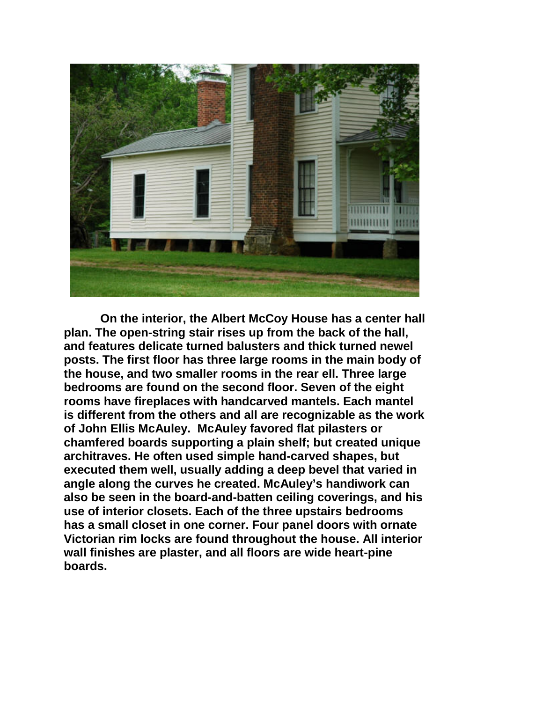

 **On the interior, the Albert McCoy House has a center hall plan. The open-string stair rises up from the back of the hall, and features delicate turned balusters and thick turned newel posts. The first floor has three large rooms in the main body of the house, and two smaller rooms in the rear ell. Three large bedrooms are found on the second floor. Seven of the eight rooms have fireplaces with handcarved mantels. Each mantel is different from the others and all are recognizable as the work of John Ellis McAuley. McAuley favored flat pilasters or chamfered boards supporting a plain shelf; but created unique architraves. He often used simple hand-carved shapes, but executed them well, usually adding a deep bevel that varied in angle along the curves he created. McAuley's handiwork can also be seen in the board-and-batten ceiling coverings, and his use of interior closets. Each of the three upstairs bedrooms has a small closet in one corner. Four panel doors with ornate Victorian rim locks are found throughout the house. All interior wall finishes are plaster, and all floors are wide heart-pine boards.**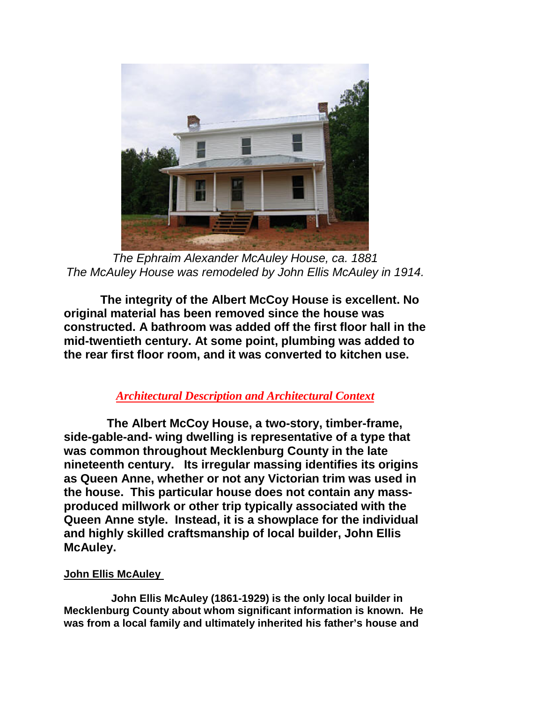

*The [Ephraim Alexander McAuley House,](http://cmhpf.org/S&Rs%20Alphabetical%20Order/surveys&rmcauley.htm) ca. 1881 The McAuley House was remodeled by John Ellis McAuley in 1914.*

 **The integrity of the Albert McCoy House is excellent. No original material has been removed since the house was constructed. A bathroom was added off the first floor hall in the mid-twentieth century. At some point, plumbing was added to the rear first floor room, and it was converted to kitchen use.**

### *Architectural Description and Architectural Context*

 **The Albert McCoy House, a two-story, timber-frame, side-gable-and- wing dwelling is representative of a type that was common throughout Mecklenburg County in the late nineteenth century. Its irregular massing identifies its origins as Queen Anne, whether or not any Victorian trim was used in the house. This particular house does not contain any massproduced millwork or other trip typically associated with the Queen Anne style. Instead, it is a showplace for the individual and highly skilled craftsmanship of local builder, John Ellis McAuley.**

#### **John Ellis McAuley**

 **John Ellis McAuley (1861-1929) is the only local builder in Mecklenburg County about whom significant information is known. He was from a local family and ultimately inherited his father's house and**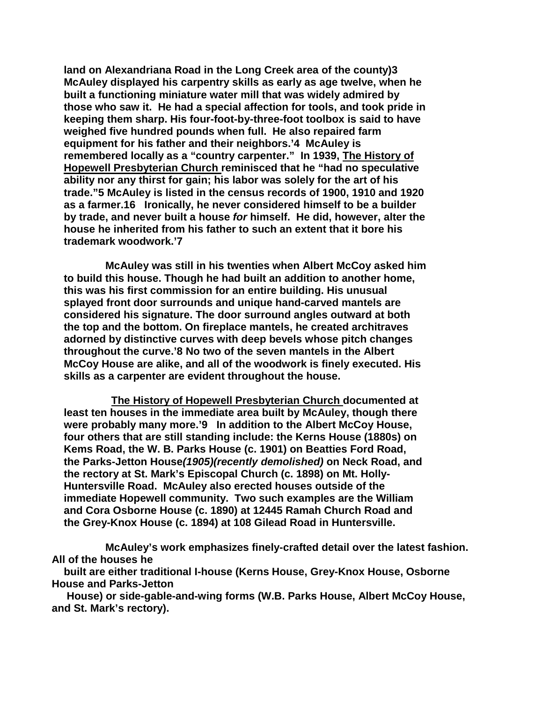**land on Alexandriana Road in the Long Creek area of the county)3 McAuley displayed his carpentry skills as early as age twelve, when he built a functioning miniature water mill that was widely admired by those who saw it. He had a special affection for tools, and took pride in keeping them sharp. His four-foot-by-three-foot toolbox is said to have weighed five hundred pounds when full. He also repaired farm equipment for his father and their neighbors.'4 McAuley is remembered locally as a "country carpenter." In 1939, The History of Hopewell Presbyterian Church reminisced that he "had no speculative ability nor any thirst for gain; his labor was solely for the art of his trade."5 McAuley is listed in the census records of 1900, 1910 and 1920 as a farmer.16 Ironically, he never considered himself to be a builder by trade, and never built a house** *for* **himself. He did, however, alter the house he inherited from his father to such an extent that it bore his trademark woodwork.'7**

 **McAuley was still in his twenties when Albert McCoy asked him to build this house. Though he had built an addition to another home, this was his first commission for an entire building. His unusual splayed front door surrounds and unique hand-carved mantels are considered his signature. The door surround angles outward at both the top and the bottom. On fireplace mantels, he created architraves adorned by distinctive curves with deep bevels whose pitch changes throughout the curve.'8 No two of the seven mantels in the Albert McCoy House are alike, and all of the woodwork is finely executed. His skills as a carpenter are evident throughout the house.**

 **The History of Hopewell Presbyterian Church documented at least ten houses in the immediate area built by McAuley, though there were probably many more.'9 In addition to the Albert McCoy House, four others that are still standing include: the Kerns House (1880s) on Kems Road, the W. B. Parks House (c. 1901) on Beatties Ford Road, the [Parks-Jetton](http://cmhpf.org/S&Rs%20Alphabetical%20Order/surveys&rparksjetton.htm) House***(1905)(recently demolished)* **on Neck Road, and the rectory at St. Mark's Episcopal Church (c. 1898) on Mt. Holly-Huntersville Road. McAuley also erected houses outside of the immediate Hopewell community. Two such examples are the [William](http://cmhpf.org/S&Rs%20Alphabetical%20Order/surveys&rosborne.htm)  [and Cora Osborne House](http://cmhpf.org/S&Rs%20Alphabetical%20Order/surveys&rosborne.htm) (c. 1890) at 12445 Ramah Church Road and the Grey-Knox House (c. 1894) at 108 Gilead Road in Huntersville.**

 **McAuley's work emphasizes finely-crafted detail over the latest fashion. All of the houses he**

**built are either traditional I-house (Kerns House, Grey-Knox House, Osborne House and Parks-Jetton**

**House) or side-gable-and-wing forms (W.B. Parks House, Albert McCoy House, and St. Mark's rectory).**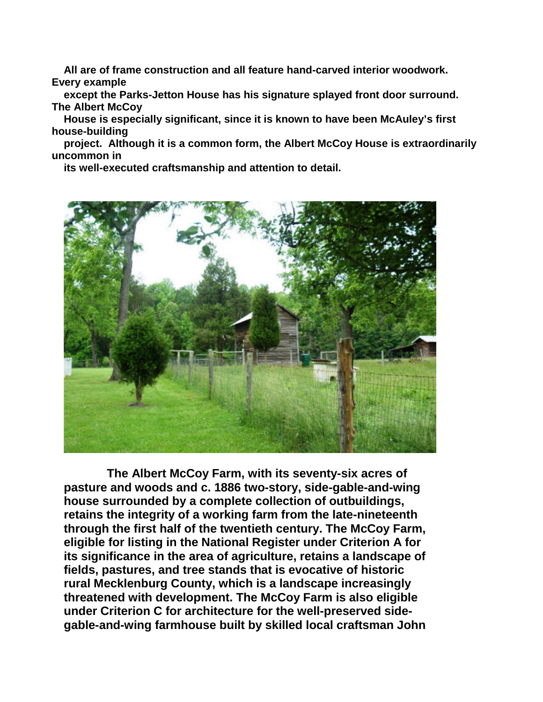**All are of frame construction and all feature hand-carved interior woodwork. Every example**

**except the Parks-Jetton House has his signature splayed front door surround. The Albert McCoy**

**House is especially significant, since it is known to have been McAuley's first house-building**

**project. Although it is a common form, the Albert McCoy House is extraordinarily uncommon in**

**its well-executed craftsmanship and attention to detail.**



 **The Albert McCoy Farm, with its seventy-six acres of pasture and woods and c. 1886 two-story, side-gable-and-wing house surrounded by a complete collection of outbuildings, retains the integrity of a working farm from the late-nineteenth through the first half of the twentieth century. The McCoy Farm, eligible for listing in the National Register under Criterion A for its significance in the area of agriculture, retains a landscape of fields, pastures, and tree stands that is evocative of historic rural Mecklenburg County, which is a landscape increasingly threatened with development. The McCoy Farm is also eligible under Criterion C for architecture for the well-preserved sidegable-and-wing farmhouse built by skilled local craftsman John**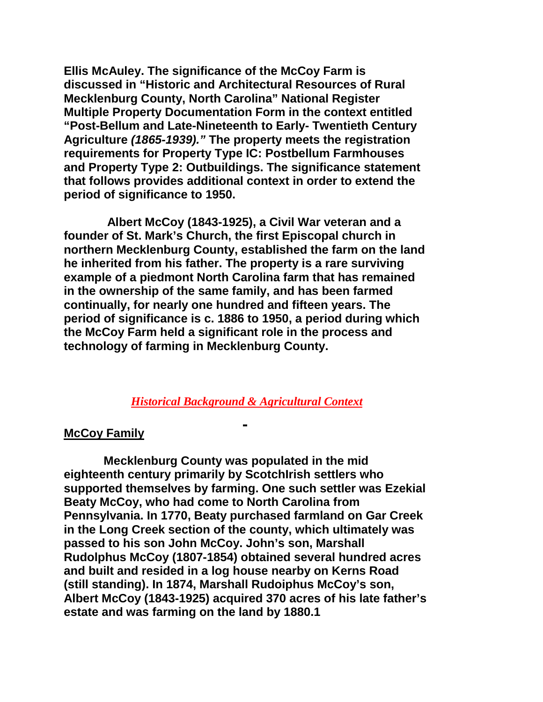**Ellis McAuley. The significance of the McCoy Farm is discussed in "Historic and Architectural Resources of Rural Mecklenburg County, North Carolina" National Register Multiple Property Documentation Form in the context entitled "Post-Bellum and Late-Nineteenth to Early- Twentieth Century Agriculture** *(1865-1939)."* **The property meets the registration requirements for Property Type IC: Postbellum Farmhouses and Property Type 2: Outbuildings. The significance statement that follows provides additional context in order to extend the period of significance to 1950.**

 **Albert McCoy (1843-1925), a Civil War veteran and a founder of St. Mark's Church, the first Episcopal church in northern Mecklenburg County, established the farm on the land he inherited from his father. The property is a rare surviving example of a piedmont North Carolina farm that has remained in the ownership of the same family, and has been farmed continually, for nearly one hundred and fifteen years. The period of significance is c. 1886 to 1950, a period during which the McCoy Farm held a significant role in the process and technology of farming in Mecklenburg County.**

*Historical Background & Agricultural Context*

### **McCoy Family**

 **Mecklenburg County was populated in the mid eighteenth century primarily by ScotchIrish settlers who supported themselves by farming. One such settler was Ezekial Beaty McCoy, who had come to North Carolina from Pennsylvania. In 1770, Beaty purchased farmland on Gar Creek in the Long Creek section of the county, which ultimately was passed to his son John McCoy. John's son, Marshall Rudolphus McCoy (1807-1854) obtained several hundred acres and built and resided in a log house nearby on Kerns Road (still standing). In 1874, Marshall Rudoiphus McCoy's son, Albert McCoy (1843-1925) acquired 370 acres of his late father's estate and was farming on the land by 1880.1**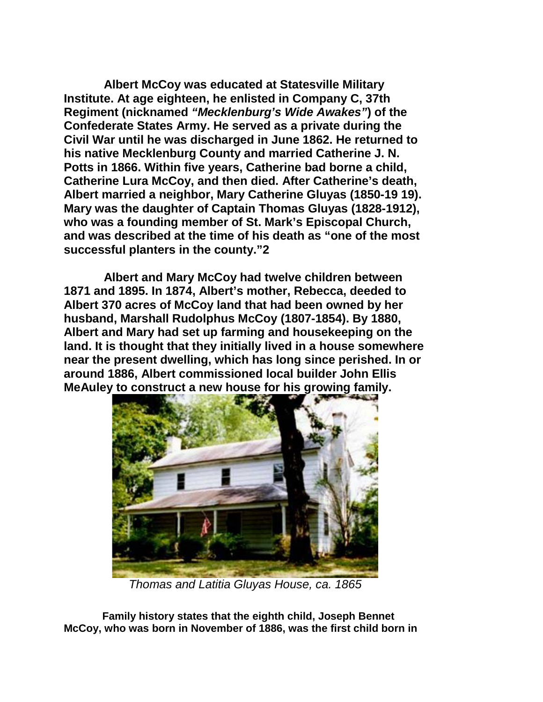**Albert McCoy was educated at Statesville Military Institute. At age eighteen, he enlisted in Company C, 37th Regiment (nicknamed** *"Mecklenburg's Wide Awakes"***) of the Confederate States Army. He served as a private during the Civil War until he was discharged in June 1862. He returned to his native Mecklenburg County and married Catherine J. N. Potts in 1866. Within five years, Catherine bad borne a child, Catherine Lura McCoy, and then died. After Catherine's death, Albert married a neighbor, Mary Catherine Gluyas (1850-19 19). Mary was the daughter of Captain Thomas Gluyas (1828-1912), who was a founding member of St. Mark's Episcopal Church, and was described at the time of his death as "one of the most successful planters in the county."2** 

 **Albert and Mary McCoy had twelve children between 1871 and 1895. In 1874, Albert's mother, Rebecca, deeded to Albert 370 acres of McCoy land that had been owned by her husband, Marshall Rudolphus McCoy (1807-1854). By 1880, Albert and Mary had set up farming and housekeeping on the land. It is thought that they initially lived in a house somewhere near the present dwelling, which has long since perished. In or around 1886, Albert commissioned local builder John Ellis MeAuley to construct a new house for his growing family.**



*[Thomas and Latitia Gluyas House,](http://cmhpf.org/S&Rs%20Alphabetical%20Order/surveys&rgluyas.htm) ca. 1865*

 **Family history states that the eighth child, Joseph Bennet McCoy, who was born in November of 1886, was the first child born in**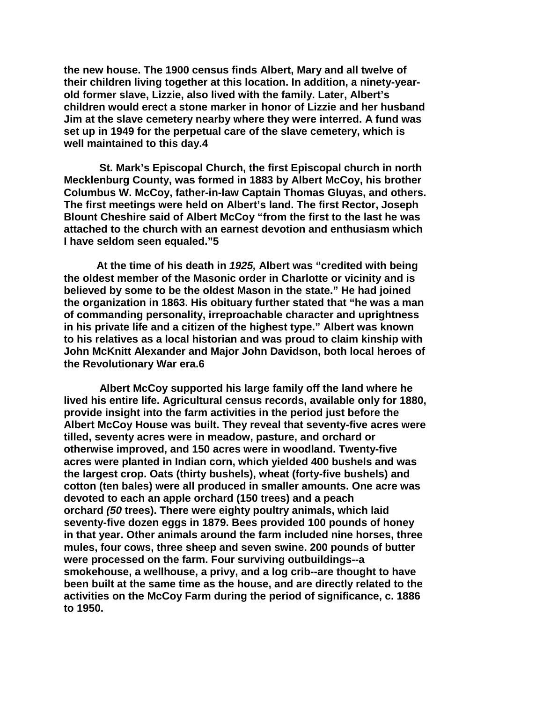**the new house. The 1900 census finds Albert, Mary and all twelve of their children living together at this location. In addition, a ninety-yearold former slave, Lizzie, also lived with the family. Later, Albert's children would erect a stone marker in honor of Lizzie and her husband Jim at the slave cemetery nearby where they were interred. A fund was set up in 1949 for the perpetual care of the slave cemetery, which is well maintained to this day.4**

 **St. Mark's Episcopal Church, the first Episcopal church in north Mecklenburg County, was formed in 1883 by Albert McCoy, his brother Columbus W. McCoy, father-in-law Captain Thomas Gluyas, and others. The first meetings were held on Albert's land. The first Rector, Joseph Blount Cheshire said of Albert McCoy "from the first to the last he was attached to the church with an earnest devotion and enthusiasm which I have seldom seen equaled."5**

 **At the time of his death in** *1925,* **Albert was "credited with being the oldest member of the Masonic order in Charlotte or vicinity and is believed by some to be the oldest Mason in the state." He had joined the organization in 1863. His obituary further stated that "he was a man of commanding personality, irreproachable character and uprightness in his private life and a citizen of the highest type." Albert was known to his relatives as a local historian and was proud to claim kinship with John McKnitt Alexander and Major John Davidson, both local heroes of the Revolutionary War era.6**

 **Albert McCoy supported his large family off the land where he lived his entire life. Agricultural census records, available only for 1880, provide insight into the farm activities in the period just before the Albert McCoy House was built. They reveal that seventy-five acres were tilled, seventy acres were in meadow, pasture, and orchard or otherwise improved, and 150 acres were in woodland. Twenty-five acres were planted in Indian corn, which yielded 400 bushels and was the largest crop. Oats (thirty bushels), wheat (forty-five bushels) and cotton (ten bales) were all produced in smaller amounts. One acre was devoted to each an apple orchard (150 trees) and a peach orchard** *(50* **trees). There were eighty poultry animals, which laid seventy-five dozen eggs in 1879. Bees provided 100 pounds of honey in that year. Other animals around the farm included nine horses, three mules, four cows, three sheep and seven swine. 200 pounds of butter were processed on the farm. Four surviving outbuildings--a smokehouse, a wellhouse, a privy, and a log crib--are thought to have been built at the same time as the house, and are directly related to the activities on the McCoy Farm during the period of significance, c. 1886 to 1950.**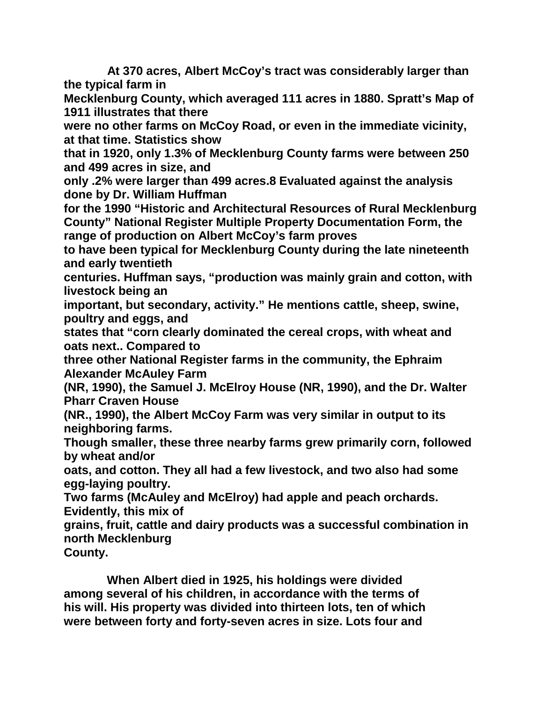**At 370 acres, Albert McCoy's tract was considerably larger than the typical farm in**

**Mecklenburg County, which averaged 111 acres in 1880. Spratt's Map of 1911 illustrates that there**

**were no other farms on McCoy Road, or even in the immediate vicinity, at that time. Statistics show**

**that in 1920, only 1.3% of Mecklenburg County farms were between 250 and 499 acres in size, and**

**only .2% were larger than 499 acres.8 Evaluated against the analysis done by Dr. William Huffman**

**for the 1990 "Historic and Architectural Resources of Rural Mecklenburg County" National Register Multiple Property Documentation Form, the range of production on Albert McCoy's farm proves**

**to have been typical for Mecklenburg County during the late nineteenth and early twentieth**

**centuries. Huffman says, "production was mainly grain and cotton, with livestock being an**

**important, but secondary, activity." He mentions cattle, sheep, swine, poultry and eggs, and**

**states that "corn clearly dominated the cereal crops, with wheat and oats next.. Compared to**

**three other National Register farms in the community, the Ephraim Alexander McAuley Farm**

**(NR, 1990), the Samuel J. McElroy House (NR, 1990), and the Dr. Walter Pharr Craven House**

**(NR., 1990), the Albert McCoy Farm was very similar in output to its neighboring farms.**

**Though smaller, these three nearby farms grew primarily corn, followed by wheat and/or**

**oats, and cotton. They all had a few livestock, and two also had some egg-laying poultry.**

**Two farms (McAuley and McElroy) had apple and peach orchards. Evidently, this mix of**

**grains, fruit, cattle and dairy products was a successful combination in north Mecklenburg**

**County.**

 **When Albert died in 1925, his holdings were divided among several of his children, in accordance with the terms of his will. His property was divided into thirteen lots, ten of which were between forty and forty-seven acres in size. Lots four and**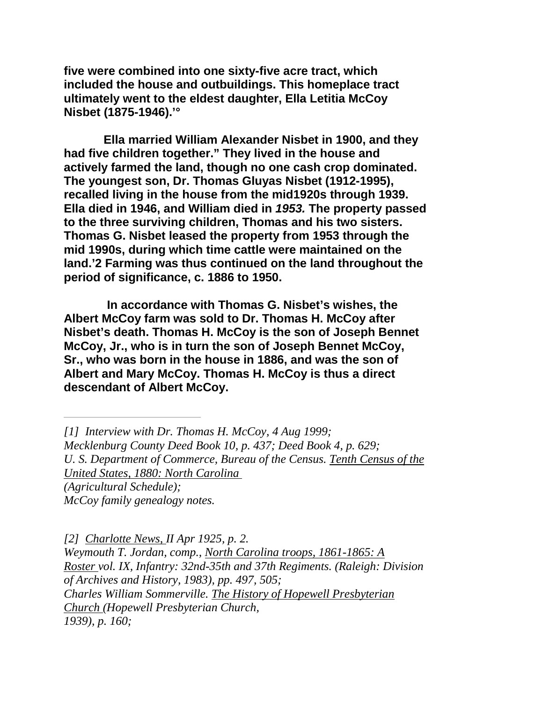**five were combined into one sixty-five acre tract, which included the house and outbuildings. This homeplace tract ultimately went to the eldest daughter, Ella Letitia McCoy Nisbet (1875-1946).'°**

 **Ella married William Alexander Nisbet in 1900, and they had five children together." They lived in the house and actively farmed the land, though no one cash crop dominated. The youngest son, Dr. Thomas Gluyas Nisbet (1912-1995), recalled living in the house from the mid1920s through 1939. Ella died in 1946, and William died in** *1953.* **The property passed to the three surviving children, Thomas and his two sisters. Thomas G. Nisbet leased the property from 1953 through the mid 1990s, during which time cattle were maintained on the land.'2 Farming was thus continued on the land throughout the period of significance, c. 1886 to 1950.**

 **In accordance with Thomas G. Nisbet's wishes, the Albert McCoy farm was sold to Dr. Thomas H. McCoy after Nisbet's death. Thomas H. McCoy is the son of Joseph Bennet McCoy, Jr., who is in turn the son of Joseph Bennet McCoy, Sr., who was born in the house in 1886, and was the son of Albert and Mary McCoy. Thomas H. McCoy is thus a direct descendant of Albert McCoy.**

*[1] Interview with Dr. Thomas H. McCoy, 4 Aug 1999; Mecklenburg County Deed Book 10, p. 437; Deed Book 4, p. 629; U. S. Department of Commerce, Bureau of the Census. Tenth Census of the United States, 1880: North Carolina (Agricultural Schedule); McCoy family genealogy notes.*

*[2] Charlotte News, II Apr 1925, p. 2. Weymouth T. Jordan, comp., North Carolina troops, 1861-1865: A Roster vol. IX, Infantry: 32nd-35th and 37th Regiments. (Raleigh: Division of Archives and History, 1983), pp. 497, 505; Charles William Sommerville. The History of Hopewell Presbyterian Church (Hopewell Presbyterian Church, 1939), p. 160;*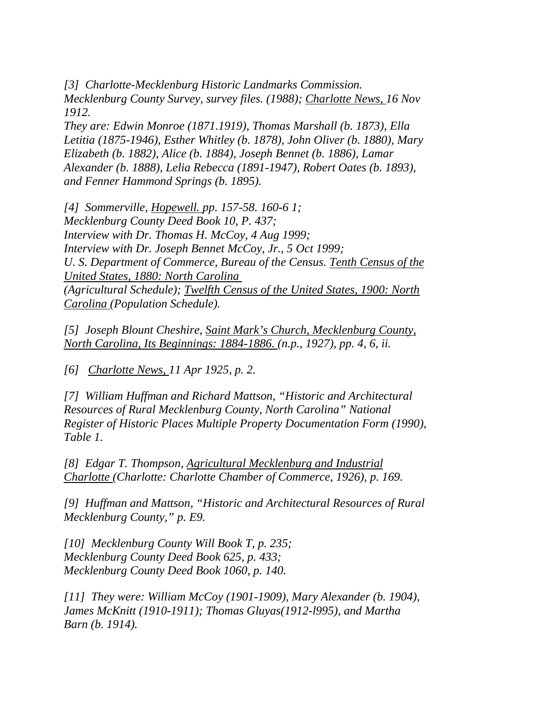*[3] Charlotte-Mecklenburg Historic Landmarks Commission. Mecklenburg County Survey, survey files. (1988); Charlotte News, 16 Nov 1912.*

*They are: Edwin Monroe (1871.1919), Thomas Marshall (b. 1873), Ella Letitia (1875-1946), Esther Whitley (b. 1878), John Oliver (b. 1880), Mary Elizabeth (b. 1882), Alice (b. 1884), Joseph Bennet (b. 1886), Lamar Alexander (b. 1888), Lelia Rebecca (1891-1947), Robert Oates (b. 1893), and Fenner Hammond Springs (b. 1895).*

*[4] Sommerville, Hopewell. pp. 157-58. 160-6 1; Mecklenburg County Deed Book 10, P. 437; Interview with Dr. Thomas H. McCoy, 4 Aug 1999; Interview with Dr. Joseph Bennet McCoy, Jr., 5 Oct 1999; U. S. Department of Commerce, Bureau of the Census. Tenth Census of the United States, 1880: North Carolina (Agricultural Schedule); Twelfth Census of the United States, 1900: North Carolina (Population Schedule).*

*[5] Joseph Blount Cheshire, Saint Mark's Church, Mecklenburg County, North Carolina, Its Beginnings: 1884-1886. (n.p., 1927), pp. 4, 6, ii.*

*[6] Charlotte News, 11 Apr 1925, p. 2.*

*[7] William Huffman and Richard Mattson, "Historic and Architectural Resources of Rural Mecklenburg County, North Carolina" National Register of Historic Places Multiple Property Documentation Form (1990), Table 1.*

*[8] Edgar T. Thompson, Agricultural Mecklenburg and Industrial Charlotte (Charlotte: Charlotte Chamber of Commerce, 1926), p. 169.*

*[9] Huffman and Mattson, "Historic and Architectural Resources of Rural Mecklenburg County," p. E9.*

*[10] Mecklenburg County Will Book T, p. 235; Mecklenburg County Deed Book 625, p. 433; Mecklenburg County Deed Book 1060, p. 140.*

*[11] They were: William McCoy (1901-1909), Mary Alexander (b. 1904), James McKnitt (1910-1911); Thomas Gluyas(1912-l995), and Martha Barn (b. 1914).*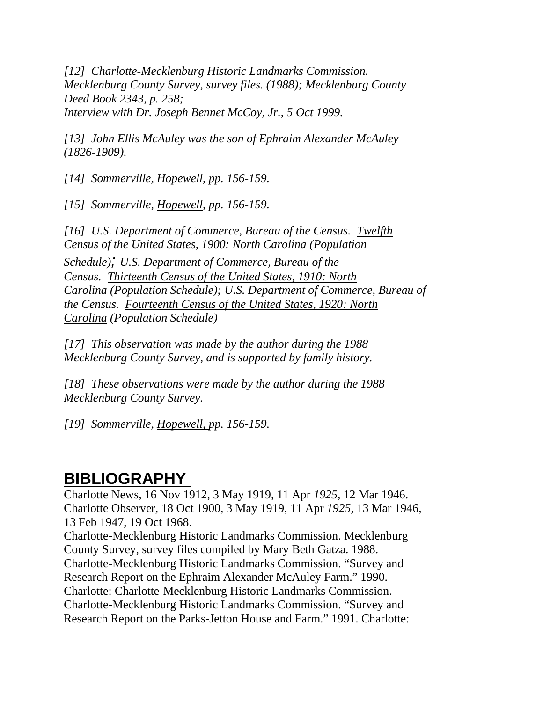*[12] Charlotte-Mecklenburg Historic Landmarks Commission. Mecklenburg County Survey, survey files. (1988); Mecklenburg County Deed Book 2343, p. 258; Interview with Dr. Joseph Bennet McCoy, Jr., 5 Oct 1999.*

*[13] John Ellis McAuley was the son of Ephraim Alexander McAuley (1826-1909).*

*[14] Sommerville, Hopewell, pp. 156-159.*

*[15] Sommerville, Hopewell, pp. 156-159.*

*[16] U.S. Department of Commerce, Bureau of the Census. Twelfth Census of the United States, 1900: North Carolina (Population Schedule); U.S. Department of Commerce, Bureau of the Census. Thirteenth Census of the United States, 1910: North Carolina (Population Schedule); U.S. Department of Commerce, Bureau of the Census. Fourteenth Census of the United States, 1920: North Carolina (Population Schedule)*

*[17] This observation was made by the author during the 1988 Mecklenburg County Survey, and is supported by family history.*

*[18] These observations were made by the author during the 1988 Mecklenburg County Survey.*

*[19] Sommerville, Hopewell, pp. 156-159.*

## **BIBLIOGRAPHY**

Charlotte News, 16 Nov 1912, 3 May 1919, 11 Apr *1925,* 12 Mar 1946. Charlotte Observer, 18 Oct 1900, 3 May 1919, 11 Apr *1925,* 13 Mar 1946, 13 Feb 1947, 19 Oct 1968. Charlotte-Mecklenburg Historic Landmarks Commission. Mecklenburg County Survey, survey files compiled by Mary Beth Gatza. 1988. Charlotte-Mecklenburg Historic Landmarks Commission. "Survey and Research Report on the Ephraim Alexander McAuley Farm." 1990. Charlotte: Charlotte-Mecklenburg Historic Landmarks Commission. Charlotte-Mecklenburg Historic Landmarks Commission. "Survey and Research Report on the Parks-Jetton House and Farm." 1991. Charlotte: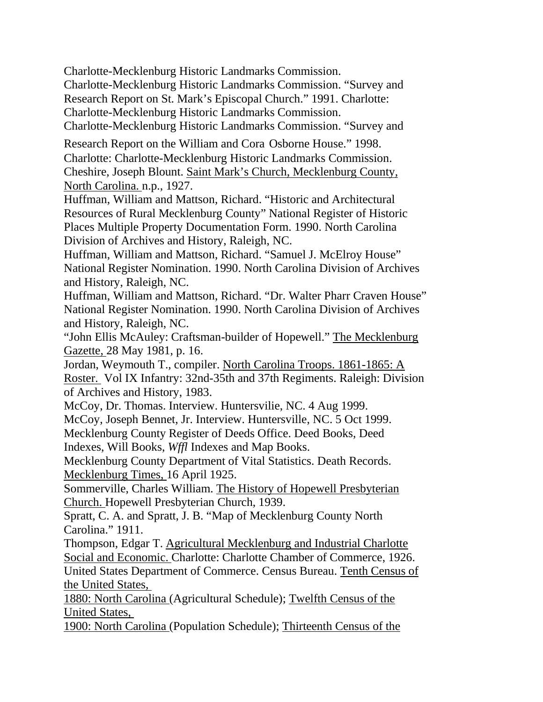Charlotte-Mecklenburg Historic Landmarks Commission.

Charlotte-Mecklenburg Historic Landmarks Commission. "Survey and Research Report on St. Mark's Episcopal Church." 1991. Charlotte:

Charlotte-Mecklenburg Historic Landmarks Commission.

Charlotte-Mecklenburg Historic Landmarks Commission. "Survey and

Research Report on the William and Cora Osborne House." 1998. Charlotte: Charlotte-Mecklenburg Historic Landmarks Commission. Cheshire, Joseph Blount. Saint Mark's Church, Mecklenburg County, North Carolina. n.p., 1927.

Huffman, William and Mattson, Richard. "Historic and Architectural Resources of Rural Mecklenburg County" National Register of Historic Places Multiple Property Documentation Form. 1990. North Carolina Division of Archives and History, Raleigh, NC.

Huffman, William and Mattson, Richard. "Samuel J. McElroy House" National Register Nomination. 1990. North Carolina Division of Archives and History, Raleigh, NC.

Huffman, William and Mattson, Richard. "Dr. Walter Pharr Craven House" National Register Nomination. 1990. North Carolina Division of Archives and History, Raleigh, NC.

"John Ellis McAuley: Craftsman-builder of Hopewell." The Mecklenburg Gazette, 28 May 1981, p. 16.

Jordan, Weymouth T., compiler. North Carolina Troops. 1861-1865: A Roster. Vol IX Infantry: 32nd-35th and 37th Regiments. Raleigh: Division of Archives and History, 1983.

McCoy, Dr. Thomas. Interview. Huntersvilie, NC. 4 Aug 1999.

McCoy, Joseph Bennet, Jr. Interview. Huntersville, NC. 5 Oct 1999.

Mecklenburg County Register of Deeds Office. Deed Books, Deed

Indexes, Will Books, *Wffl* Indexes and Map Books.

Mecklenburg County Department of Vital Statistics. Death Records. Mecklenburg Times, 16 April 1925.

Sommerville, Charles William. The History of Hopewell Presbyterian Church. Hopewell Presbyterian Church, 1939.

Spratt, C. A. and Spratt, J. B. "Map of Mecklenburg County North Carolina." 1911.

Thompson, Edgar T. Agricultural Mecklenburg and Industrial Charlotte Social and Economic. Charlotte: Charlotte Chamber of Commerce, 1926.

United States Department of Commerce. Census Bureau. Tenth Census of the United States,

1880: North Carolina (Agricultural Schedule); Twelfth Census of the United States,

1900: North Carolina (Population Schedule); Thirteenth Census of the